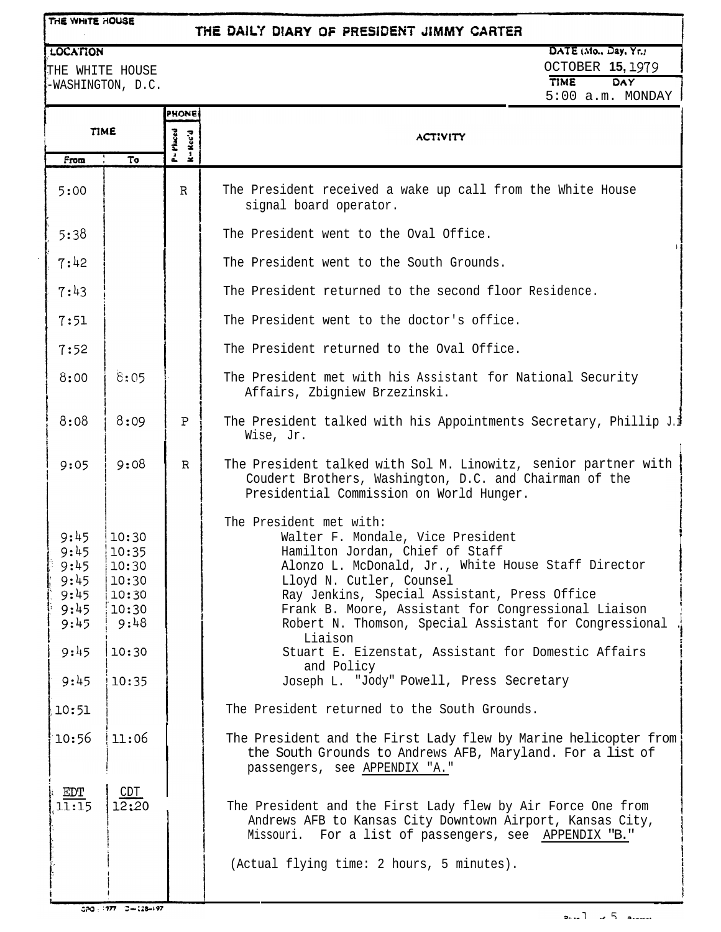**LOCATION** 

## THE DAILY DIARY OF PRESIDENT JIMMY CARTER

# DATE (Mo., Day, Yr.)

THE WHITE HOUSE -WASHINGTON, D.C.

| <b>OCTOBER 15, 1979</b>   |
|---------------------------|
|                           |
| TIME<br>DAY               |
| $5:00$ a.m. MONDAY $\mid$ |
|                           |
|                           |
|                           |
|                           |

|                                                              |                                                                       | <b>PHONE</b>             |                                                                                                                                                                                                                                                                                                                                                                                                                       |
|--------------------------------------------------------------|-----------------------------------------------------------------------|--------------------------|-----------------------------------------------------------------------------------------------------------------------------------------------------------------------------------------------------------------------------------------------------------------------------------------------------------------------------------------------------------------------------------------------------------------------|
| <b>TIME</b>                                                  |                                                                       | $P = P$ laced<br>K=Rec'd | <b>ACTIVITY</b>                                                                                                                                                                                                                                                                                                                                                                                                       |
| From                                                         | To                                                                    |                          |                                                                                                                                                                                                                                                                                                                                                                                                                       |
| 5:00                                                         |                                                                       | $\mathbb{R}$             | The President received a wake up call from the White House<br>signal board operator.                                                                                                                                                                                                                                                                                                                                  |
| 5:38                                                         |                                                                       |                          | The President went to the Oval Office.                                                                                                                                                                                                                                                                                                                                                                                |
| 7:42                                                         |                                                                       |                          | The President went to the South Grounds.                                                                                                                                                                                                                                                                                                                                                                              |
| 7:43                                                         |                                                                       |                          | The President returned to the second floor Residence.                                                                                                                                                                                                                                                                                                                                                                 |
| 7:51                                                         |                                                                       |                          | The President went to the doctor's office.                                                                                                                                                                                                                                                                                                                                                                            |
| 7:52                                                         |                                                                       |                          | The President returned to the Oval Office.                                                                                                                                                                                                                                                                                                                                                                            |
| 8:00                                                         | 8:05                                                                  |                          | The President met with his Assistant for National Security<br>Affairs, Zbigniew Brzezinski.                                                                                                                                                                                                                                                                                                                           |
| 8:08                                                         | 8:09                                                                  | P                        | The President talked with his Appointments Secretary, Phillip J.i<br>Wise, Jr.                                                                                                                                                                                                                                                                                                                                        |
| 9:05                                                         | 9:08                                                                  | $\mathbb{R}$             | The President talked with Sol M. Linowitz, senior partner with<br>Coudert Brothers, Washington, D.C. and Chairman of the<br>Presidential Commission on World Hunger.                                                                                                                                                                                                                                                  |
| 9:45<br>9:45<br>9:45<br>9:45<br>9:45<br>9:45<br>9:45<br>9:45 | 10:30<br>10:35<br>10:30<br> 10:30<br>10:30<br> 10:30<br>9:48<br>10:30 |                          | The President met with:<br>Walter F. Mondale, Vice President<br>Hamilton Jordan, Chief of Staff<br>Alonzo L. McDonald, Jr., White House Staff Director<br>Lloyd N. Cutler, Counsel<br>Ray Jenkins, Special Assistant, Press Office<br>Frank B. Moore, Assistant for Congressional Liaison<br>Robert N. Thomson, Special Assistant for Congressional<br>Liaison<br>Stuart E. Eizenstat, Assistant for Domestic Affairs |
| 9:45                                                         | 10:35                                                                 |                          | and Policy<br>Joseph L. "Jody" Powell, Press Secretary                                                                                                                                                                                                                                                                                                                                                                |
| 10:51                                                        |                                                                       |                          | The President returned to the South Grounds.                                                                                                                                                                                                                                                                                                                                                                          |
| 10:56                                                        | 11:06                                                                 |                          | The President and the First Lady flew by Marine helicopter from<br>the South Grounds to Andrews AFB, Maryland. For a list of<br>passengers, see APPENDIX "A."                                                                                                                                                                                                                                                         |
| EDT<br>11:15                                                 | 12:20                                                                 |                          | The President and the First Lady flew by Air Force One from<br>Andrews AFB to Kansas City Downtown Airport, Kansas City,<br>Missouri. For a list of passengers, see APPENDIX "B."<br>(Actual flying time: 2 hours, 5 minutes).                                                                                                                                                                                        |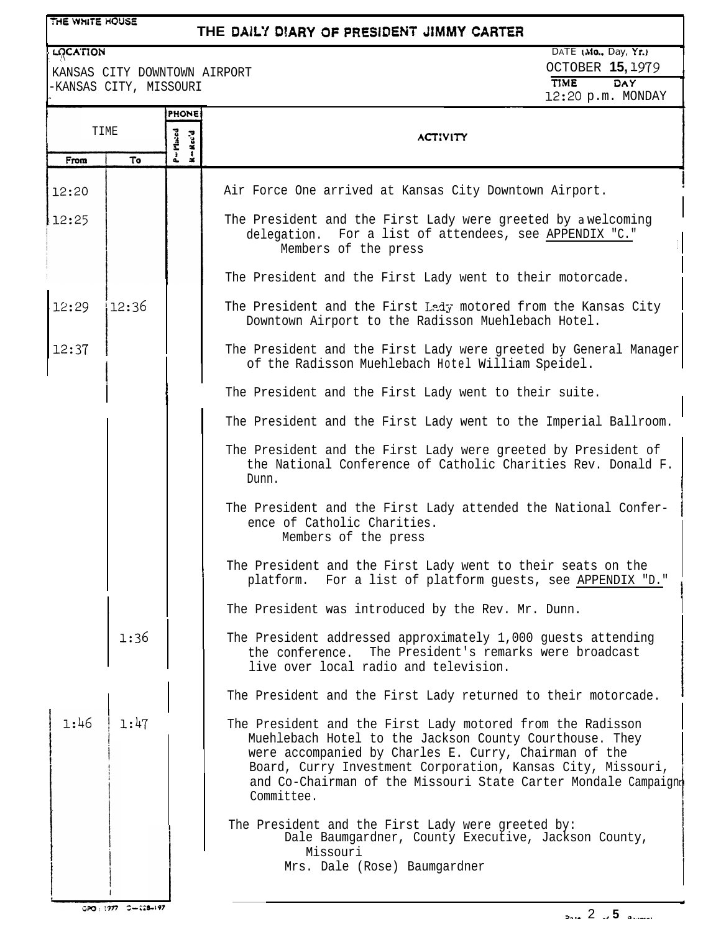| THE WHITE HOUSE |
|-----------------|
|-----------------|

# THE DAILY DIARY OF PRESIDENT JIMMY CARTER

# **' qpn0N** I \*.

**-**

KANSAS CITY DOWNTOWN AIRPORT -KANSAS CITY, MISSOURI

|       |                   | <b>PHONE</b>                 | 16.10 p.m. 11011111                                                                                                                                                                                                                                                                                                           |  |
|-------|-------------------|------------------------------|-------------------------------------------------------------------------------------------------------------------------------------------------------------------------------------------------------------------------------------------------------------------------------------------------------------------------------|--|
| TIME  |                   | $P = M$ iaced<br>$k = Kec'd$ | <b>ACTIVITY</b>                                                                                                                                                                                                                                                                                                               |  |
| From  | To                |                              |                                                                                                                                                                                                                                                                                                                               |  |
| 12:20 |                   |                              | Air Force One arrived at Kansas City Downtown Airport.                                                                                                                                                                                                                                                                        |  |
| 12:25 |                   |                              | The President and the First Lady were greeted by a welcoming<br>delegation. For a list of attendees, see APPENDIX "C."<br>Members of the press                                                                                                                                                                                |  |
|       |                   |                              | The President and the First Lady went to their motorcade.                                                                                                                                                                                                                                                                     |  |
| 12:29 | 12:36             |                              | The President and the First Lady motored from the Kansas City<br>Downtown Airport to the Radisson Muehlebach Hotel.                                                                                                                                                                                                           |  |
| 12:37 |                   |                              | The President and the First Lady were greeted by General Manager<br>of the Radisson Muehlebach Hotel William Speidel.                                                                                                                                                                                                         |  |
|       |                   |                              | The President and the First Lady went to their suite.                                                                                                                                                                                                                                                                         |  |
|       |                   |                              | The President and the First Lady went to the Imperial Ballroom.                                                                                                                                                                                                                                                               |  |
|       |                   |                              | The President and the First Lady were greeted by President of<br>the National Conference of Catholic Charities Rev. Donald F.<br>Dunn.                                                                                                                                                                                        |  |
|       |                   |                              | The President and the First Lady attended the National Confer-<br>ence of Catholic Charities.<br>Members of the press                                                                                                                                                                                                         |  |
|       |                   |                              | The President and the First Lady went to their seats on the<br>platform. For a list of platform guests, see APPENDIX "D."                                                                                                                                                                                                     |  |
|       |                   |                              | The President was introduced by the Rev. Mr. Dunn.                                                                                                                                                                                                                                                                            |  |
|       | 1:36              |                              | The President addressed approximately 1,000 quests attending<br>The President's remarks were broadcast<br>the conference.<br>live over local radio and television.                                                                                                                                                            |  |
|       |                   |                              | The President and the First Lady returned to their motorcade.                                                                                                                                                                                                                                                                 |  |
| 1:46  | 1:47              |                              | The President and the First Lady motored from the Radisson<br>Muehlebach Hotel to the Jackson County Courthouse. They<br>were accompanied by Charles E. Curry, Chairman of the<br>Board, Curry Investment Corporation, Kansas City, Missouri,<br>and Co-Chairman of the Missouri State Carter Mondale Campaignt<br>Committee. |  |
|       |                   |                              | The President and the First Lady were greeted by:<br>Dale Baumgardner, County Executive, Jackson County,<br>Missouri                                                                                                                                                                                                          |  |
|       |                   |                              | Mrs. Dale (Rose) Baumgardner                                                                                                                                                                                                                                                                                                  |  |
|       | 020:177 0-128-197 |                              | 2.5                                                                                                                                                                                                                                                                                                                           |  |
|       |                   |                              |                                                                                                                                                                                                                                                                                                                               |  |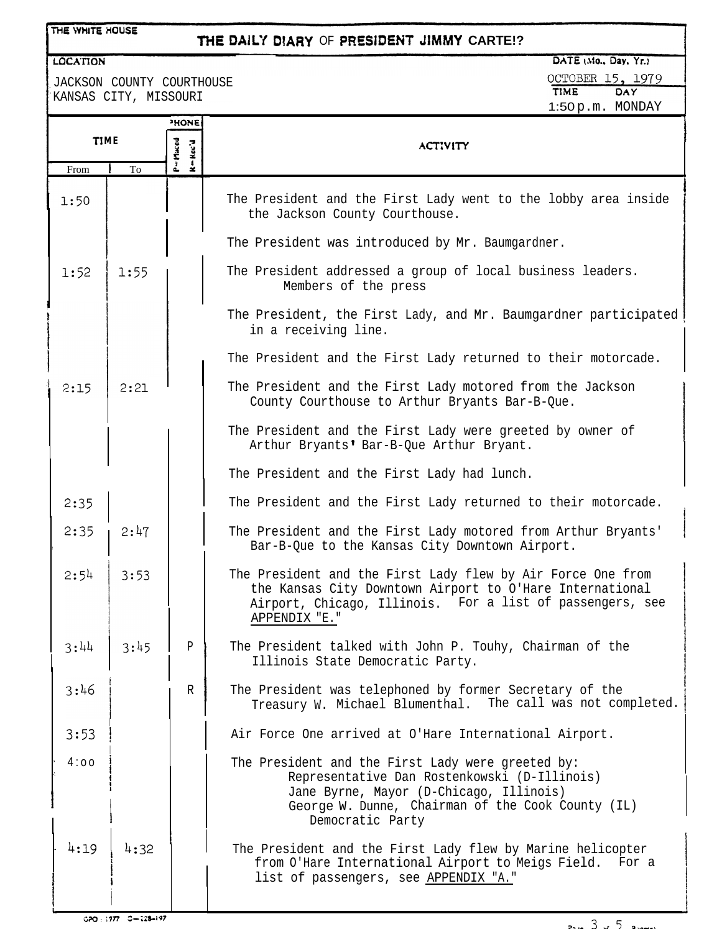### THE WHITE HOUSE

# THE DAILY DIARY OF PRESIDENT JIMMY CARTE!?

#### **LOCATION**

JACKSON COUNTY COURTHOUSE KANSAS CITY, MISSOURI

OCTOBER 15, 1979 TIME DAY 1:50p.m. MONDAY

|      |      | <b>HONE:</b>        |                                                                                                                                                                                                                       |
|------|------|---------------------|-----------------------------------------------------------------------------------------------------------------------------------------------------------------------------------------------------------------------|
| TIME |      | P=Pieced<br>K=Kcc'd | <b>ACTIVITY</b>                                                                                                                                                                                                       |
| From | To   |                     |                                                                                                                                                                                                                       |
| 1:50 |      |                     | The President and the First Lady went to the lobby area inside<br>the Jackson County Courthouse.                                                                                                                      |
|      |      |                     | The President was introduced by Mr. Baumgardner.                                                                                                                                                                      |
| 1:52 | 1:55 |                     | The President addressed a group of local business leaders.<br>Members of the press                                                                                                                                    |
|      |      |                     | The President, the First Lady, and Mr. Baumgardner participated<br>in a receiving line.                                                                                                                               |
|      |      |                     | The President and the First Lady returned to their motorcade.                                                                                                                                                         |
| 2:15 | 2:21 |                     | The President and the First Lady motored from the Jackson<br>County Courthouse to Arthur Bryants Bar-B-Que.                                                                                                           |
|      |      |                     | The President and the First Lady were greeted by owner of<br>Arthur Bryants' Bar-B-Que Arthur Bryant.                                                                                                                 |
|      |      |                     | The President and the First Lady had lunch.                                                                                                                                                                           |
| 2:35 |      |                     | The President and the First Lady returned to their motorcade.                                                                                                                                                         |
| 2:35 | 2:47 |                     | The President and the First Lady motored from Arthur Bryants'<br>Bar-B-Que to the Kansas City Downtown Airport.                                                                                                       |
| 2:54 | 3:53 |                     | The President and the First Lady flew by Air Force One from<br>the Kansas City Downtown Airport to O'Hare International<br>Airport, Chicago, Illinois. For a list of passengers, see<br>APPENDIX "E."                 |
| 3:44 | 3:45 | P                   | The President talked with John P. Touhy, Chairman of the<br>Illinois State Democratic Party.                                                                                                                          |
| 3:46 |      | R                   | The President was telephoned by former Secretary of the<br>Treasury W. Michael Blumenthal. The call was not completed.                                                                                                |
| 3:53 |      |                     | Air Force One arrived at O'Hare International Airport.                                                                                                                                                                |
| 4:00 |      |                     | The President and the First Lady were greeted by:<br>Representative Dan Rostenkowski (D-Illinois)<br>Jane Byrne, Mayor (D-Chicago, Illinois)<br>George W. Dunne, Chairman of the Cook County (IL)<br>Democratic Party |
| 4:19 | 4:32 |                     | The President and the First Lady flew by Marine helicopter<br>from O'Hare International Airport to Meigs Field. For a<br>list of passengers, see APPENDIX "A."                                                        |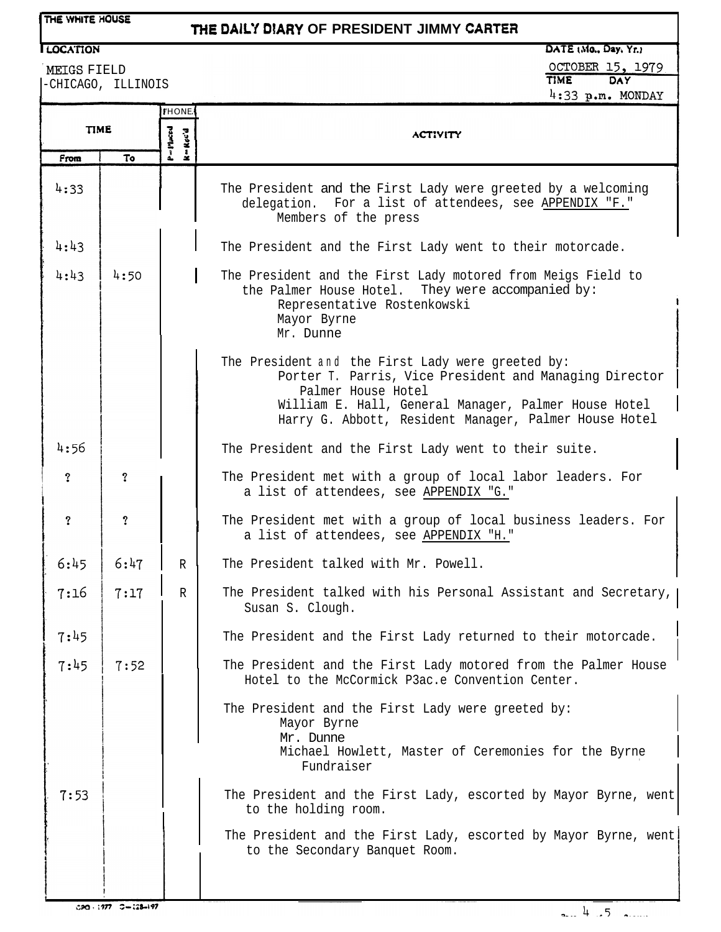# *THE DAlCf* **DtARY OF PRESIDENT JIMMY CARTER**

# **ILOCATION**

%EIGS FIELD -CHICAGO, ILLINOIS DATE (Mo., Day, Yr.) OCTOBER 15, 1979  $4:33$  p.m. MONDAY

|                     |                         | <b>I'HONE</b>                                                                       |                                                                                                                                                                                                                                                    |
|---------------------|-------------------------|-------------------------------------------------------------------------------------|----------------------------------------------------------------------------------------------------------------------------------------------------------------------------------------------------------------------------------------------------|
| <b>TIME</b>         |                         | $P = P$ laced<br>$\mathbf{k} = \mathbf{R}\, \mathbf{c}\, \mathbf{c}' \, \mathbf{d}$ | <b>ACTIVITY</b>                                                                                                                                                                                                                                    |
| From                | To                      |                                                                                     |                                                                                                                                                                                                                                                    |
| 4:33                |                         |                                                                                     | The President and the First Lady were greeted by a welcoming<br>delegation. For a list of attendees, see APPENDIX "F."<br>Members of the press                                                                                                     |
| 4:43                |                         |                                                                                     | The President and the First Lady went to their motorcade.                                                                                                                                                                                          |
| 4:43                | 4:50                    |                                                                                     | The President and the First Lady motored from Meigs Field to<br>the Palmer House Hotel. They were accompanied by:<br>Representative Rostenkowski<br>Mayor Byrne<br>Mr. Dunne                                                                       |
|                     |                         |                                                                                     | The President and the First Lady were greeted by:<br>Porter T. Parris, Vice President and Managing Director<br>Palmer House Hotel<br>William E. Hall, General Manager, Palmer House Hotel<br>Harry G. Abbott, Resident Manager, Palmer House Hotel |
| 4:56                |                         |                                                                                     | The President and the First Lady went to their suite.                                                                                                                                                                                              |
| $\ddot{?}$          | $\overline{\mathbf{?}}$ |                                                                                     | The President met with a group of local labor leaders. For<br>a list of attendees, see APPENDIX "G."                                                                                                                                               |
| $\ddot{\mathbf{?}}$ | $\overline{?}$          |                                                                                     | The President met with a group of local business leaders. For<br>a list of attendees, see APPENDIX "H."                                                                                                                                            |
| 6:45                | 6:47                    | $\mathbb{R}$                                                                        | The President talked with Mr. Powell.                                                                                                                                                                                                              |
| 7:16                | 7:17                    | $\mathbb{R}$                                                                        | The President talked with his Personal Assistant and Secretary,<br>Susan S. Clough.                                                                                                                                                                |
| 7:45                |                         |                                                                                     | The President and the First Lady returned to their motorcade.                                                                                                                                                                                      |
| 7:45                | 7:52                    |                                                                                     | The President and the First Lady motored from the Palmer House<br>Hotel to the McCormick P3ac.e Convention Center.                                                                                                                                 |
|                     |                         |                                                                                     | The President and the First Lady were greeted by:<br>Mayor Byrne<br>Mr. Dunne<br>Michael Howlett, Master of Ceremonies for the Byrne<br>Fundraiser                                                                                                 |
| 7:53                |                         |                                                                                     | The President and the First Lady, escorted by Mayor Byrne, went<br>to the holding room.                                                                                                                                                            |
|                     |                         |                                                                                     | The President and the First Lady, escorted by Mayor Byrne, went<br>to the Secondary Banquet Room.                                                                                                                                                  |